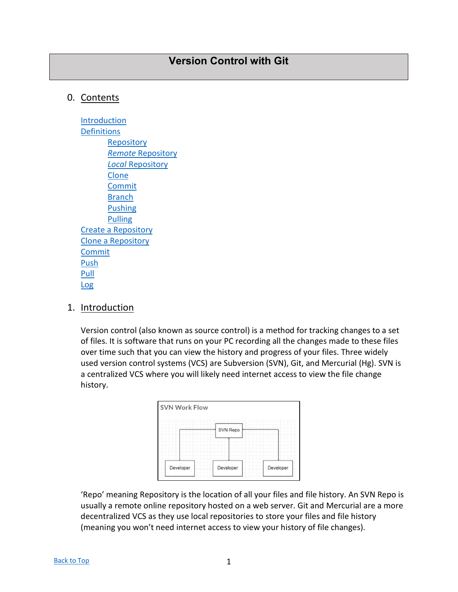# <span id="page-0-0"></span>0. Contents

[Introduction](#page-0-1) **[Definitions](#page-1-0) [Repository](#page-1-1)** *Remote* [Repository](#page-1-2) *Local* [Repository](#page-1-3) [Clone](#page-1-4) [Commit](#page-1-5) **[Branch](#page-2-0)** [Pushing](#page-2-1) [Pulling](#page-3-0) [Create a Repository](#page-3-1) [Clone a Repository](#page-4-0) [Commit](#page-6-0) **[Push](#page-6-1)** [Pull](#page-7-0) [Log](#page-7-1)

## <span id="page-0-1"></span>1. Introduction

Version control (also known as source control) is a method for tracking changes to a set of files. It is software that runs on your PC recording all the changes made to these files over time such that you can view the history and progress of your files. Three widely used version control systems (VCS) are Subversion (SVN), Git, and Mercurial (Hg). SVN is a centralized VCS where you will likely need internet access to view the file change history.



'Repo' meaning Repository is the location of all your files and file history. An SVN Repo is usually a remote online repository hosted on a web server. Git and Mercurial are a more decentralized VCS as they use local repositories to store your files and file history (meaning you won't need internet access to view your history of file changes).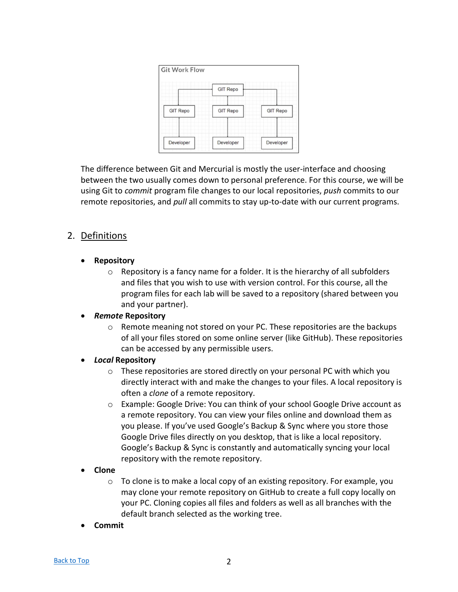| <b>Git Work Flow</b> |                 |                 |
|----------------------|-----------------|-----------------|
|                      | <b>GIT Repo</b> |                 |
| <b>GIT Repo</b>      | <b>GIT Repo</b> | <b>GIT Repo</b> |
| Developer            | Developer       | Developer       |

The difference between Git and Mercurial is mostly the user-interface and choosing between the two usually comes down to personal preference. For this course, we will be using Git to *commit* program file changes to our local repositories, *push* commits to our remote repositories, and *pull* all commits to stay up-to-date with our current programs.

# <span id="page-1-0"></span>2. Definitions

- <span id="page-1-1"></span>• **Repository**
	- o Repository is a fancy name for a folder. It is the hierarchy of all subfolders and files that you wish to use with version control. For this course, all the program files for each lab will be saved to a repository (shared between you and your partner).

### <span id="page-1-2"></span>• *Remote* **Repository**

 $\circ$  Remote meaning not stored on your PC. These repositories are the backups of all your files stored on some online server (like GitHub). These repositories can be accessed by any permissible users.

### <span id="page-1-3"></span>• *Local* **Repository**

- $\circ$  These repositories are stored directly on your personal PC with which you directly interact with and make the changes to your files. A local repository is often a *clone* of a remote repository.
- o Example: Google Drive: You can think of your school Google Drive account as a remote repository. You can view your files online and download them as you please. If you've used Google's Backup & Sync where you store those Google Drive files directly on you desktop, that is like a local repository. Google's Backup & Sync is constantly and automatically syncing your local repository with the remote repository.

### <span id="page-1-4"></span>• **Clone**

- $\circ$  To clone is to make a local copy of an existing repository. For example, you may clone your remote repository on GitHub to create a full copy locally on your PC. Cloning copies all files and folders as well as all branches with the default branch selected as the working tree.
- <span id="page-1-5"></span>• **Commit**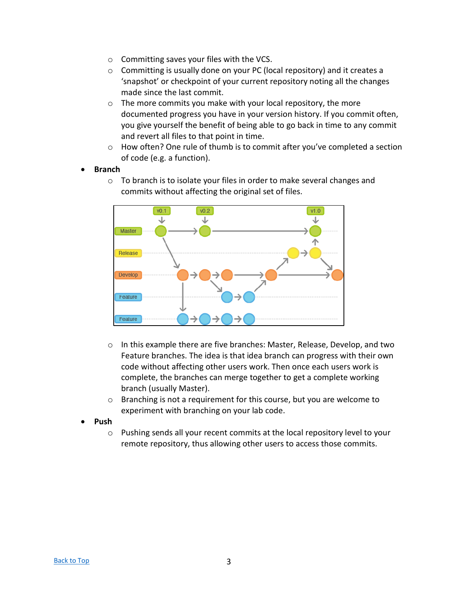- o Committing saves your files with the VCS.
- o Committing is usually done on your PC (local repository) and it creates a 'snapshot' or checkpoint of your current repository noting all the changes made since the last commit.
- o The more commits you make with your local repository, the more documented progress you have in your version history. If you commit often, you give yourself the benefit of being able to go back in time to any commit and revert all files to that point in time.
- $\circ$  How often? One rule of thumb is to commit after you've completed a section of code (e.g. a function).

#### <span id="page-2-0"></span>• **Branch**

o To branch is to isolate your files in order to make several changes and commits without affecting the original set of files.



- $\circ$  In this example there are five branches: Master, Release, Develop, and two Feature branches. The idea is that idea branch can progress with their own code without affecting other users work. Then once each users work is complete, the branches can merge together to get a complete working branch (usually Master).
- o Branching is not a requirement for this course, but you are welcome to experiment with branching on your lab code.
- <span id="page-2-1"></span>• **Push**
	- o Pushing sends all your recent commits at the local repository level to your remote repository, thus allowing other users to access those commits.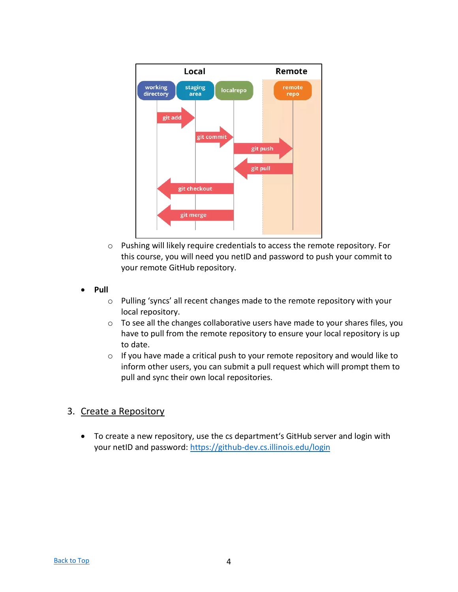

- o Pushing will likely require credentials to access the remote repository. For this course, you will need you netID and password to push your commit to your remote GitHub repository.
- <span id="page-3-0"></span>• **Pull**
	- o Pulling 'syncs' all recent changes made to the remote repository with your local repository.
	- o To see all the changes collaborative users have made to your shares files, you have to pull from the remote repository to ensure your local repository is up to date.
	- o If you have made a critical push to your remote repository and would like to inform other users, you can submit a pull request which will prompt them to pull and sync their own local repositories.

## <span id="page-3-1"></span>3. Create a Repository

• To create a new repository, use the cs department's GitHub server and login with your netID and password:<https://github-dev.cs.illinois.edu/login>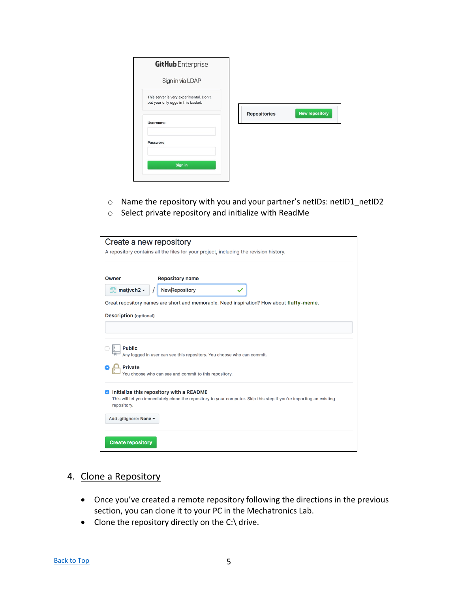| <b>GitHub</b> Enterprise                                                      |                                              |
|-------------------------------------------------------------------------------|----------------------------------------------|
| Sign in via LDAP                                                              |                                              |
| This server is very experimental. Don't<br>put your only eggs in this basket. |                                              |
| <b>Username</b>                                                               | <b>New repository</b><br><b>Repositories</b> |
| Password                                                                      |                                              |
| Sign in                                                                       |                                              |

- o Name the repository with you and your partner's netIDs: netID1\_netID2
- o Select private repository and initialize with ReadMe

| Create a new repository                                                                           |                                                                                                                                 |
|---------------------------------------------------------------------------------------------------|---------------------------------------------------------------------------------------------------------------------------------|
|                                                                                                   | A repository contains all the files for your project, including the revision history.                                           |
|                                                                                                   |                                                                                                                                 |
| Owner                                                                                             | <b>Repository name</b>                                                                                                          |
| $\blacksquare$ matjvch2 $\blacktriangleright$                                                     | NewRepository                                                                                                                   |
|                                                                                                   | Great repository names are short and memorable. Need inspiration? How about fluffy-meme.                                        |
| <b>Description</b> (optional)                                                                     |                                                                                                                                 |
|                                                                                                   |                                                                                                                                 |
| <b>Public</b><br><b>Private</b>                                                                   | Any logged in user can see this repository. You choose who can commit.<br>You choose who can see and commit to this repository. |
| $\triangledown$ Initialize this repository with a README<br>repository.<br>Add .gitignore: None ▼ | This will let you immediately clone the repository to your computer. Skip this step if you're importing an existing             |
|                                                                                                   |                                                                                                                                 |
| <b>Create repository</b>                                                                          |                                                                                                                                 |

## <span id="page-4-0"></span>4. Clone a Repository

- Once you've created a remote repository following the directions in the previous section, you can clone it to your PC in the Mechatronics Lab.
- Clone the repository directly on the C:\ drive.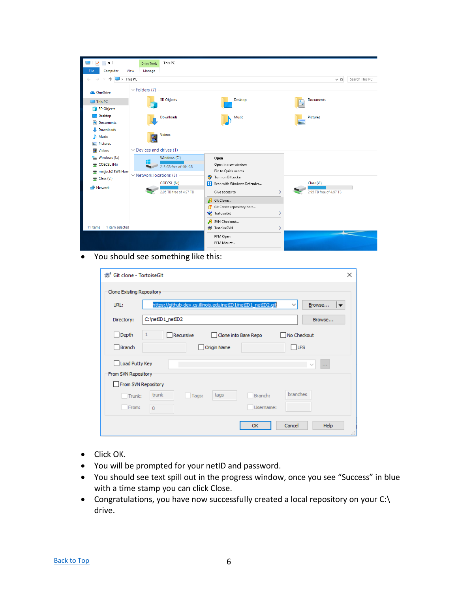

• You should see something like this:

| <b>● Git clone - TortoiseGit</b>      | ×                                                                                                                 |  |  |  |  |  |
|---------------------------------------|-------------------------------------------------------------------------------------------------------------------|--|--|--|--|--|
| Clone Existing Repository             |                                                                                                                   |  |  |  |  |  |
| URL:                                  | https://github-dev.cs.illinois.edu/netID1/netID1_netID2.git<br>Browse<br>$\checkmark$<br>$\overline{\phantom{a}}$ |  |  |  |  |  |
| Directory:                            | C:\netID1_netID2<br>Browse                                                                                        |  |  |  |  |  |
| Depth                                 | 1<br>Recursive<br>□ No Checkout<br>Clone into Bare Repo                                                           |  |  |  |  |  |
| Branch                                | TLFS<br><b>Origin Name</b>                                                                                        |  |  |  |  |  |
| Load Putty Key<br>From SVN Repository | $\checkmark$<br>$\sim$                                                                                            |  |  |  |  |  |
|                                       | From SVN Repository                                                                                               |  |  |  |  |  |
| Trunk:                                | branches<br>trunk<br>tags<br>Branch:<br>Tags:                                                                     |  |  |  |  |  |
| From:                                 | Username:<br>$\mathbf 0$                                                                                          |  |  |  |  |  |
|                                       | <b>OK</b><br>Cancel<br>Help<br>$\mathbb{R}$                                                                       |  |  |  |  |  |

- Click OK.
- You will be prompted for your netID and password.
- You should see text spill out in the progress window, once you see "Success" in blue with a time stamp you can click Close.
- Congratulations, you have now successfully created a local repository on your C:\ drive.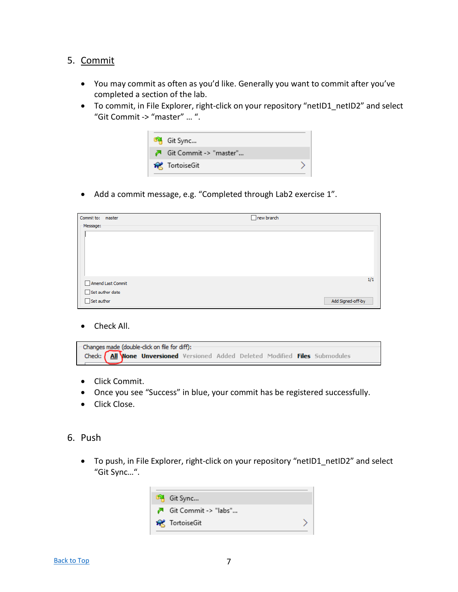## <span id="page-6-0"></span>5. Commit

- You may commit as often as you'd like. Generally you want to commit after you've completed a section of the lab.
- To commit, in File Explorer, right-click on your repository "netID1\_netID2" and select "Git Commit -> "master" … ".

| <sup>US</sup> Git Sync |                        |  |
|------------------------|------------------------|--|
|                        | Git Commit -> "master" |  |
| <b>Red</b> TortoiseGit |                        |  |

• Add a commit message, e.g. "Completed through Lab2 exercise 1".

| Commit to: master      | $\Box$ new branch |
|------------------------|-------------------|
| Message:               |                   |
|                        |                   |
|                        |                   |
|                        |                   |
|                        |                   |
|                        |                   |
|                        | 1/1               |
| Amend Last Commit      |                   |
| $\Box$ Set author date |                   |
| $\Box$ Set author      | Add Signed-off-by |

Check All.

| - Changes made (double-click on file for diff): - |  |  |                                                                               |  |  |  |  |  |  |
|---------------------------------------------------|--|--|-------------------------------------------------------------------------------|--|--|--|--|--|--|
|                                                   |  |  | Check: All Wone Unversioned Versioned Added Deleted Modified Files Submodules |  |  |  |  |  |  |

- Click Commit.
- Once you see "Success" in blue, your commit has be registered successfully.
- Click Close.
- <span id="page-6-1"></span>6. Push
	- To push, in File Explorer, right-click on your repository "netID1 netID2" and select "Git Sync…".